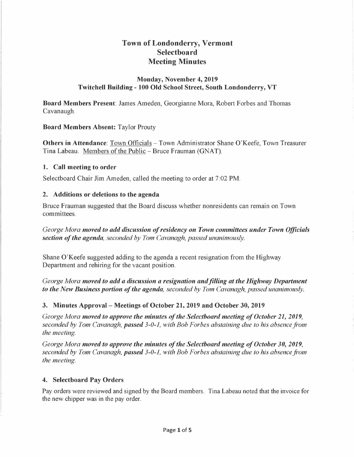# **Town of Londonderry, Vermont Selectboard Meeting Minutes**

#### **Monday, November 4, 2019 Twitchell Building- 100 Old School Street, South Londonderry, VT**

**Board Members Present:** James Ameden, Georgianne Mora, Robert Forbes and Thomas Cavanaugh.

#### **Board Members Absent:** Taylor Prouty

**Others in Attendance**: Town Officials – Town Administrator Shane O'Keefe, Town Treasurer Tina Labeau. Members of the Public - Bruce Frauman (GNAT).

#### **1. Call meeting to order**

Selectboard Chair Jim Ameden, called the meeting to order at 7:02 PM.

#### **2. Additions or deletions to the agenda**

Bruce Frauman suggested that the Board discuss whether nonresidents can remain on Town committees.

*George Mora moved to add discussion of residency on Town committees under Town Officials section of the agenda, seconded by Tom Cavanagh, passed unanimously.* 

Shane O'Keefe suggested adding to the agenda a recent resignation from the Highway Department and rehiring for the vacant position.

*George Mora moved to add a discussion a resignation and filling at the Highway Department to the New Business portion of the agenda, seconded by Tom Cavanagh, passed unanimously.* 

### **3. Minutes Approval - Meetings of October 21, 2019 and October 30, 2019**

*George Mora moved to approve the minutes of the Selectboard meeting of October 21, 2019, seconded by Tom Cavanagh, passed 3-0-1, with Bob Forbes abstaining due to his absence from the meeting.* 

*George Mora moved to approve the minutes of the Selectboard meeting of October 30, 2019, seconded by Tom Cavanagh, passed 3-0-1, with Bob Forbes abstaining due to his absence from the meeting.* 

### **4. Selectboard Pay Orders**

Pay orders were reviewed and signed by the Board members. Tina Labeau noted that the invoice for the new chipper was in the pay order.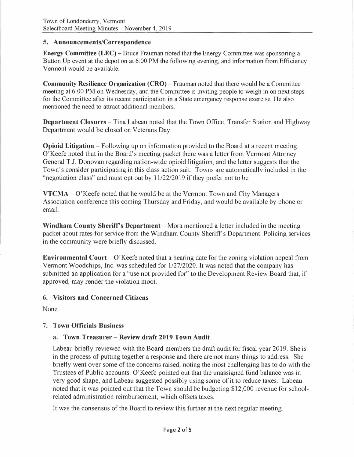#### **5. Announcements/Correspondence**

**Energy Committee (LEC)** – Bruce Frauman noted that the Energy Committee was sponsoring a Button Up event at the depot on at 6:00 PM the following evening, and information from Efficiency Vermont would be available.

**Community Resilience Organization (CRO) – Frauman noted that there would be a Committee** meeting at 6:00 PM on Wednesday, and the Committee is inviting people to weigh in on next steps for the Committee after its recent participation in a State emergency response exercise. He also mentioned the need to attract additional members.

**Department Closures -** Tina Labeau noted that the Town Office, Transfer Station and Highway Department would be closed on Veterans Day.

**Opioid Litigation -** Following up on information provided to the Board at a recent meeting. O'Keefe noted that in the Board's meeting packet there was a letter from Vermont Attorney General T.J. Donovan regarding nation-wide opioid litigation, and the letter suggests that the Town's consider participating in this class action suit. Towns are automatically included in the "negotiation class" and must opt out by 11/22/2019 if they prefer not to be.

**VTCMA-** O'Keefe noted that he would be at the Vermont Town and City Managers Association conference this coming Thursday and Friday, and would be available by phone or email.

**Windham County Sheriff's Department** – Mora mentioned a letter included in the meeting packet about rates for service from the Windham County Sheriff's Department. Policing services in the community were briefly discussed.

**Environmental Court** – O'Keefe noted that a hearing date for the zoning violation appeal from Vermont Woodchips, Inc. was scheduled for 1/27/2020. It was noted that the company has submitted an application for a "use not provided for" to the Development Review Board that, if approved, may render the violation moot.

### **6. Visitors and Concerned Citizens**

None.

### 7. **Town Officials Business**

### **a. Town Treasurer - Review draft 2019 Town Audit**

Labeau briefly reviewed with the Board members the draft audit for fiscal year 2019. She is in the process of putting together a response and there are not many things to address. She briefly went over some of the concerns raised, noting the most challenging has to do with the Trustees of Public accounts. O'Keefe pointed out that the unassigned fund balance was in very good shape, and Labeau suggested possibly using some of it to reduce taxes. Labeau noted that it was pointed out that the Town should be budgeting \$12,000 revenue for schoolrelated administration reimbursement, which offsets taxes.

It was the consensus of the Board to review this further at the next regular meeting.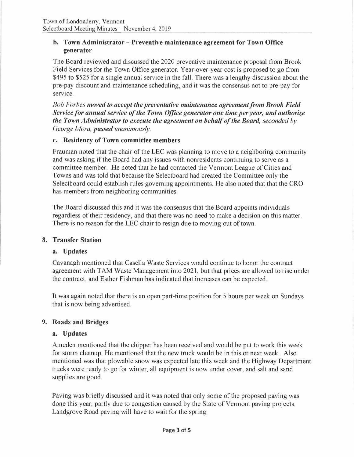### **b. Town Administrator - Preventive maintenance agreement for Town Office generator**

The Board reviewed and discussed the 2020 preventive maintenance proposal from Brook Field Services for the Town Office generator. Year-over-year cost is proposed to go from \$495 to \$525 for a single annual service in the fall. There was a lengthy discussion about the pre-pay discount and maintenance scheduling, and it was the consensus not to pre-pay for service.

*Bob Forbes moved to accept the preventative maintenance agreement from Brook Field Service for annual service of the Town Office generator one time per year, and authorize the Town Administrator to execute the agreement on behalf of the Board, seconded by George Mora, passed unanimously.* 

### **c. Residency of Town committee members**

Frauman noted that the chair of the LEC was planning to move to a neighboring community and was asking if the Board had any issues with nonresidents continuing to serve as a committee member. He noted that he had contacted the Vermont League of Cities and Towns and was told that because the Selectboard had created the Committee only the Selectboard could establish rules governing appointments. He also noted that that the CRO has members from neighboring communities.

The Board discussed this and it was the consensus that the Board appoints individuals regardless of their residency, and that there was no need to make a decision on this matter. There is no reason for the LEC chair to resign due to moving out of town.

### **8. Transfer Station**

### **a. Updates**

Cavanagh mentioned that Casella Waste Services would continue to honor the contract agreement with **TAM** Waste Management into 2021, but that prices are allowed to rise under the contract, and Esther Fishman has indicated that increases can be expected.

It was again noted that there is an open part-time position for 5 hours per week on Sundays that is now being advertised.

### **9. Roads and Bridges**

#### **a. Updates**

Ameden mentioned that the chipper has been received and would be put to work this week for storm cleanup. He mentioned that the new truck would be in this or next week. Also mentioned was that plowable snow was expected late this week and the Highway Department trucks were ready to go for winter, all equipment is now under cover, and salt and sand supplies are good.

Paving was briefly discussed and it was noted that only some of the proposed paving was done this year, partly due to congestion caused by the State of Vermont paving projects. Landgrove Road paving will have to wait for the spring.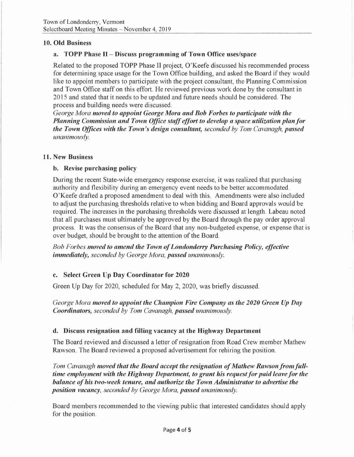### **10. Old Business**

### **a. TOPP Phase** II- **Discuss programming of Town Office uses/space**

Related to the proposed TOPP Phase II project, O'Keefe discussed his recommended process for determining space usage for the Town Office building, and asked the Board if they would like to appoint members to participate with the project consultant, the Planning Commission and Town Office staff on this effort. He reviewed previous work done by the consultant in 2015 and stated that it needs to be updated and future needs should be considered. The process and building needs were discussed.

*George Mora moved to appoint George Mora and Bob Forbes to participate with the Planning Commission and Town Office staff effort to develop a space utilization plan/or the Town Offices with the Town's design consultant, seconded by Tom Cavanagh, passed unanimously.* 

#### **11. New Business**

#### **b. Revise purchasing policy**

During the recent State-wide emergency response exercise, it was realized that purchasing authority and flexibility during an emergency event needs to be better accommodated. O'Keefe drafted a proposed amendment to deal with this. Amendments were also included to adjust the purchasing thresholds relative to when bidding and Board approvals would be required. The increases in the purchasing thresholds were discussed at length. Labeau noted that all purchases must ultimately be approved by the Board through the pay order approval process. It was the consensus of the Board that any non-budgeted expense, or expense that is over budget, should be brought to the attention of the Board.

*Bob Forbes moved to amend the Town of Londonderry Purchasing Policy, effective immediately, seconded by George Mora, passed unanimously.* 

### **c. Select Green Up Day Coordinator for 2020**

Green Up Day for 2020, scheduled for May 2, 2020, was briefly discussed.

*George Mora moved to appoint the Champion Fire Company as the 2020 Green Up Day Coordinators, seconded by Tom Cavanagh, passed unanimously.* 

### **d. Discuss resignation and filling vacancy at the Highway Department**

The Board reviewed and discussed a letter of resignation from Road Crew member Mathew Rawson. The Board reviewed a proposed advertisement for rehiring the position.

*Tom Cavanagh moved that the Board accept the resignation of Mathew Rawson from fulltime employment with the Highway Department, to grant his request for paid leave for the balance of his two-week tenure, and authorize the Town Administrator to advertise the position vacancy, seconded by George Mora, passed unanimously.* 

Board members recommended to the viewing public that interested candidates should apply for the position.